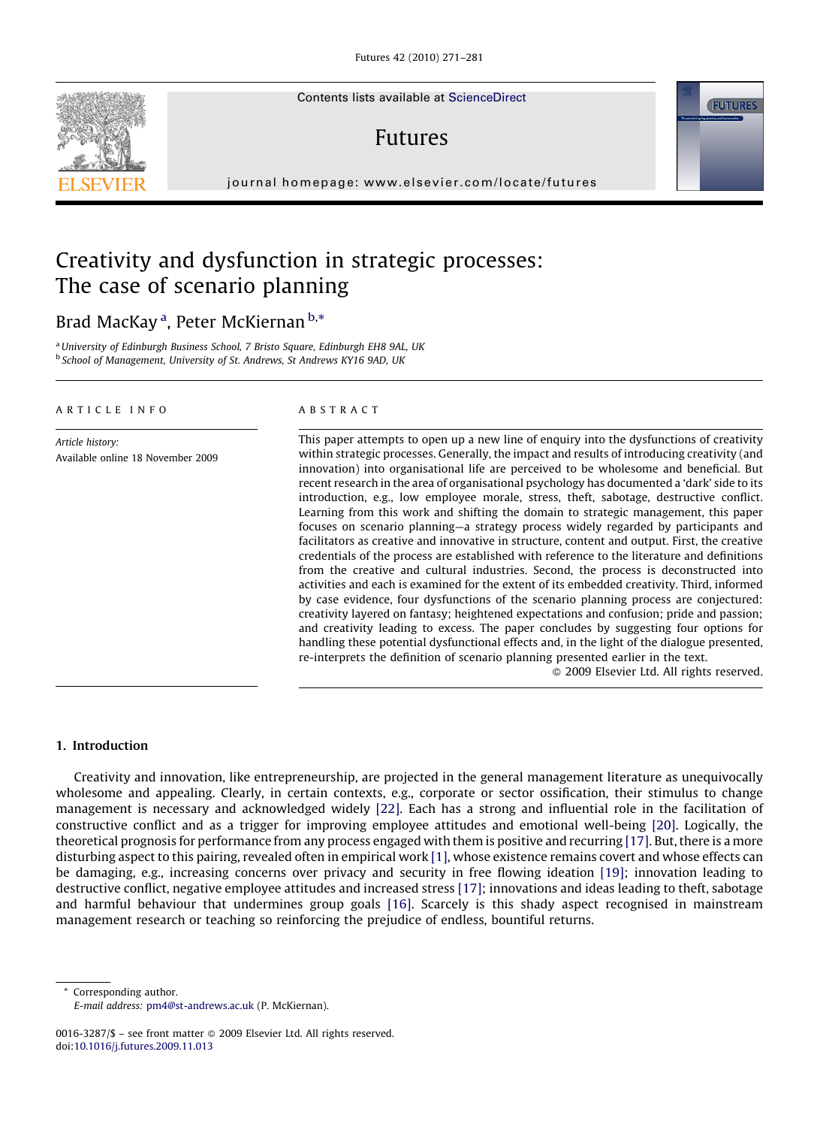Contents lists available at [ScienceDirect](http://www.sciencedirect.com/science/journal/00163287)

## Futures

journal homepage: www.elsevier.com/locate/futures

## Creativity and dysfunction in strategic processes: The case of scenario planning

### Brad MacKay <sup>a</sup>, Peter McKiernan <sup>b,</sup>\*

<sup>a</sup>University of Edinburgh Business School, 7 Bristo Square, Edinburgh EH8 9AL, UK <sup>b</sup> School of Management, University of St. Andrews, St Andrews KY16 9AD, UK

#### ARTICLE INFO

Article history: Available online 18 November 2009

#### ABSTRACT

This paper attempts to open up a new line of enquiry into the dysfunctions of creativity within strategic processes. Generally, the impact and results of introducing creativity (and innovation) into organisational life are perceived to be wholesome and beneficial. But recent research in the area of organisational psychology has documented a 'dark' side to its introduction, e.g., low employee morale, stress, theft, sabotage, destructive conflict. Learning from this work and shifting the domain to strategic management, this paper focuses on scenario planning—a strategy process widely regarded by participants and facilitators as creative and innovative in structure, content and output. First, the creative credentials of the process are established with reference to the literature and definitions from the creative and cultural industries. Second, the process is deconstructed into activities and each is examined for the extent of its embedded creativity. Third, informed by case evidence, four dysfunctions of the scenario planning process are conjectured: creativity layered on fantasy; heightened expectations and confusion; pride and passion; and creativity leading to excess. The paper concludes by suggesting four options for handling these potential dysfunctional effects and, in the light of the dialogue presented, re-interprets the definition of scenario planning presented earlier in the text.

- 2009 Elsevier Ltd. All rights reserved.

#### 1. Introduction

Creativity and innovation, like entrepreneurship, are projected in the general management literature as unequivocally wholesome and appealing. Clearly, in certain contexts, e.g., corporate or sector ossification, their stimulus to change management is necessary and acknowledged widely [\[22\].](#page--1-0) Each has a strong and influential role in the facilitation of constructive conflict and as a trigger for improving employee attitudes and emotional well-being [\[20\]](#page--1-0). Logically, the theoretical prognosis for performance from any process engaged with them is positive and recurring [\[17\].](#page--1-0) But, there is a more disturbing aspect to this pairing, revealed often in empirical work [\[1\]](#page--1-0), whose existence remains covert and whose effects can be damaging, e.g., increasing concerns over privacy and security in free flowing ideation [\[19\];](#page--1-0) innovation leading to destructive conflict, negative employee attitudes and increased stress [\[17\];](#page--1-0) innovations and ideas leading to theft, sabotage and harmful behaviour that undermines group goals [\[16\]](#page--1-0). Scarcely is this shady aspect recognised in mainstream management research or teaching so reinforcing the prejudice of endless, bountiful returns.

Corresponding author.





E-mail address: [pm4@st-andrews.ac.uk](mailto:pm4@st-andrews.ac.uk) (P. McKiernan).

<sup>0016-3287/\$ –</sup> see front matter © 2009 Elsevier Ltd. All rights reserved. doi:[10.1016/j.futures.2009.11.013](http://dx.doi.org/10.1016/j.futures.2009.11.013)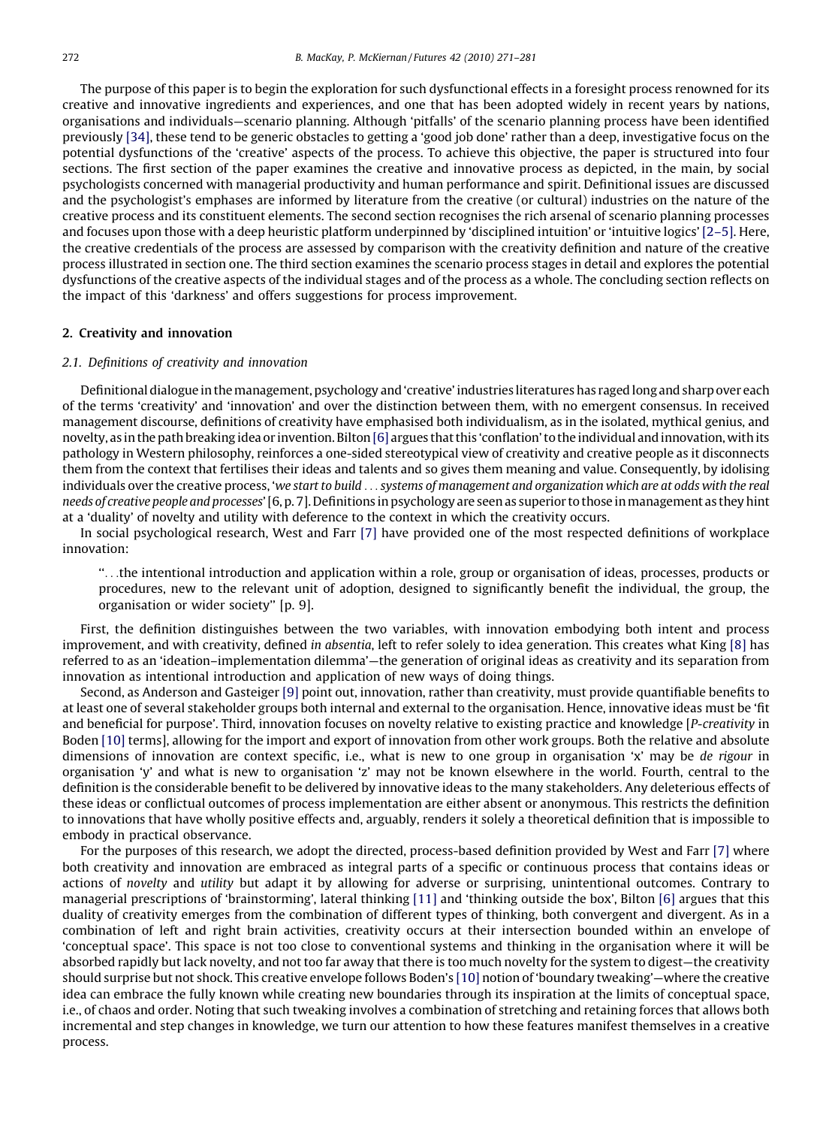The purpose of this paper is to begin the exploration for such dysfunctional effects in a foresight process renowned for its creative and innovative ingredients and experiences, and one that has been adopted widely in recent years by nations, organisations and individuals—scenario planning. Although 'pitfalls' of the scenario planning process have been identified previously [\[34\],](#page--1-0) these tend to be generic obstacles to getting a 'good job done' rather than a deep, investigative focus on the potential dysfunctions of the 'creative' aspects of the process. To achieve this objective, the paper is structured into four sections. The first section of the paper examines the creative and innovative process as depicted, in the main, by social psychologists concerned with managerial productivity and human performance and spirit. Definitional issues are discussed and the psychologist's emphases are informed by literature from the creative (or cultural) industries on the nature of the creative process and its constituent elements. The second section recognises the rich arsenal of scenario planning processes and focuses upon those with a deep heuristic platform underpinned by 'disciplined intuition' or 'intuitive logics' [\[2–5\].](#page--1-0) Here, the creative credentials of the process are assessed by comparison with the creativity definition and nature of the creative process illustrated in section one. The third section examines the scenario process stages in detail and explores the potential dysfunctions of the creative aspects of the individual stages and of the process as a whole. The concluding section reflects on the impact of this 'darkness' and offers suggestions for process improvement.

#### 2. Creativity and innovation

#### 2.1. Definitions of creativity and innovation

Definitional dialogue in themanagement, psychology and 'creative' industries literatures has raged long and sharp over each of the terms 'creativity' and 'innovation' and over the distinction between them, with no emergent consensus. In received management discourse, definitions of creativity have emphasised both individualism, as in the isolated, mythical genius, and novelty, as in the path breaking idea or invention. Bilton[\[6\]](#page--1-0) argues that this 'conflation' to the individual and innovation, with its pathology in Western philosophy, reinforces a one-sided stereotypical view of creativity and creative people as it disconnects them from the context that fertilises their ideas and talents and so gives them meaning and value. Consequently, by idolising individuals over the creative process, 'we start to build ... systems of management and organization which are at odds with the real needs of creative people and processes' [6, p. 7]. Definitions in psychology are seen as superior to those inmanagement as they hint at a 'duality' of novelty and utility with deference to the context in which the creativity occurs.

In social psychological research, West and Farr [\[7\]](#page--1-0) have provided one of the most respected definitions of workplace innovation:

''...the intentional introduction and application within a role, group or organisation of ideas, processes, products or procedures, new to the relevant unit of adoption, designed to significantly benefit the individual, the group, the organisation or wider society'' [p. 9].

First, the definition distinguishes between the two variables, with innovation embodying both intent and process improvement, and with creativity, defined in absentia, left to refer solely to idea generation. This creates what King [\[8\]](#page--1-0) has referred to as an 'ideation–implementation dilemma'—the generation of original ideas as creativity and its separation from innovation as intentional introduction and application of new ways of doing things.

Second, as Anderson and Gasteiger [\[9\]](#page--1-0) point out, innovation, rather than creativity, must provide quantifiable benefits to at least one of several stakeholder groups both internal and external to the organisation. Hence, innovative ideas must be 'fit and beneficial for purpose'. Third, innovation focuses on novelty relative to existing practice and knowledge [P-creativity in Boden [\[10\]](#page--1-0) terms], allowing for the import and export of innovation from other work groups. Both the relative and absolute dimensions of innovation are context specific, i.e., what is new to one group in organisation 'x' may be de rigour in organisation 'y' and what is new to organisation 'z' may not be known elsewhere in the world. Fourth, central to the definition is the considerable benefit to be delivered by innovative ideas to the many stakeholders. Any deleterious effects of these ideas or conflictual outcomes of process implementation are either absent or anonymous. This restricts the definition to innovations that have wholly positive effects and, arguably, renders it solely a theoretical definition that is impossible to embody in practical observance.

For the purposes of this research, we adopt the directed, process-based definition provided by West and Farr [\[7\]](#page--1-0) where both creativity and innovation are embraced as integral parts of a specific or continuous process that contains ideas or actions of novelty and utility but adapt it by allowing for adverse or surprising, unintentional outcomes. Contrary to managerial prescriptions of 'brainstorming', lateral thinking [\[11\]](#page--1-0) and 'thinking outside the box', Bilton [\[6\]](#page--1-0) argues that this duality of creativity emerges from the combination of different types of thinking, both convergent and divergent. As in a combination of left and right brain activities, creativity occurs at their intersection bounded within an envelope of 'conceptual space'. This space is not too close to conventional systems and thinking in the organisation where it will be absorbed rapidly but lack novelty, and not too far away that there is too much novelty for the system to digest—the creativity should surprise but not shock. This creative envelope follows Boden's [\[10\]](#page--1-0) notion of 'boundary tweaking'—where the creative idea can embrace the fully known while creating new boundaries through its inspiration at the limits of conceptual space, i.e., of chaos and order. Noting that such tweaking involves a combination of stretching and retaining forces that allows both incremental and step changes in knowledge, we turn our attention to how these features manifest themselves in a creative process.